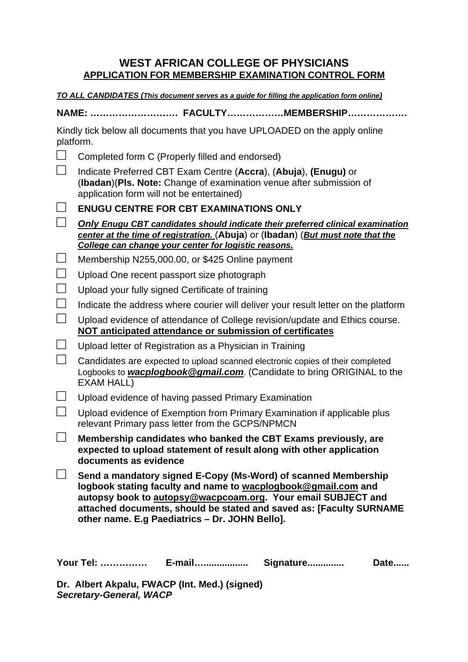## **WEST AFRICAN COLLEGE OF PHYSICIANS APPLICATION FOR MEMBERSHIP EXAMINATION CONTROL FORM**

**TO ALL CANDIDATES (This document serves as a guide for filling the application form online)** 

**NAME: ………………………. FACULTY………………MEMBERSHIP……………….** 

Kindly tick below all documents that you have UPLOADED on the apply online platform.

| $\Box$                      | Completed form C (Properly filled and endorsed)                                                                                                                                                                                                                                                                          |
|-----------------------------|--------------------------------------------------------------------------------------------------------------------------------------------------------------------------------------------------------------------------------------------------------------------------------------------------------------------------|
| $\perp$                     | Indicate Preferred CBT Exam Centre (Accra), (Abuja), (Enugu) or<br>(Ibadan) (PIs. Note: Change of examination venue after submission of<br>application form will not be entertained)                                                                                                                                     |
|                             | <b>ENUGU CENTRE FOR CBT EXAMINATIONS ONLY</b>                                                                                                                                                                                                                                                                            |
|                             | <b>Only Enugu CBT candidates should indicate their preferred clinical examination</b><br>center at the time of registration. (Abuja) or (Ibadan) (But must note that the<br>College can change your center for logistic reasons.                                                                                         |
| $\Box$                      | Membership N255,000.00, or \$425 Online payment                                                                                                                                                                                                                                                                          |
| $\Box$                      | Upload One recent passport size photograph                                                                                                                                                                                                                                                                               |
| $\Box$                      | Upload your fully signed Certificate of training                                                                                                                                                                                                                                                                         |
| $\mathcal{L}_{\mathcal{A}}$ | Indicate the address where courier will deliver your result letter on the platform                                                                                                                                                                                                                                       |
| $\Box$                      | Upload evidence of attendance of College revision/update and Ethics course.<br><b>NOT anticipated attendance or submission of certificates</b>                                                                                                                                                                           |
| $\Box$                      | Upload letter of Registration as a Physician in Training                                                                                                                                                                                                                                                                 |
| $\perp$                     | Candidates are expected to upload scanned electronic copies of their completed<br>Logbooks to <b>wacplogbook@gmail.com</b> (Candidate to bring ORIGINAL to the<br>EXAM HALL)                                                                                                                                             |
|                             | Upload evidence of having passed Primary Examination                                                                                                                                                                                                                                                                     |
| $\mathcal{L}_{\mathcal{A}}$ | Upload evidence of Exemption from Primary Examination if applicable plus<br>relevant Primary pass letter from the GCPS/NPMCN                                                                                                                                                                                             |
| $\mathcal{L}^{\mathcal{L}}$ | Membership candidates who banked the CBT Exams previously, are<br>expected to upload statement of result along with other application<br>documents as evidence                                                                                                                                                           |
|                             | Send a mandatory signed E-Copy (Ms-Word) of scanned Membership<br>logbook stating faculty and name to wacplogbook@gmail.com and<br>autopsy book to autopsy@wacpcoam.org. Your email SUBJECT and<br>attached documents, should be stated and saved as: [Faculty SURNAME<br>other name. E.g Paediatrics - Dr. JOHN Bello]. |
|                             | <b>Your Tel: </b><br>E-mail<br>Signature<br>Date                                                                                                                                                                                                                                                                         |

**Dr. Albert Akpalu, FWACP (Int. Med.) (signed) Secretary-General, WACP**